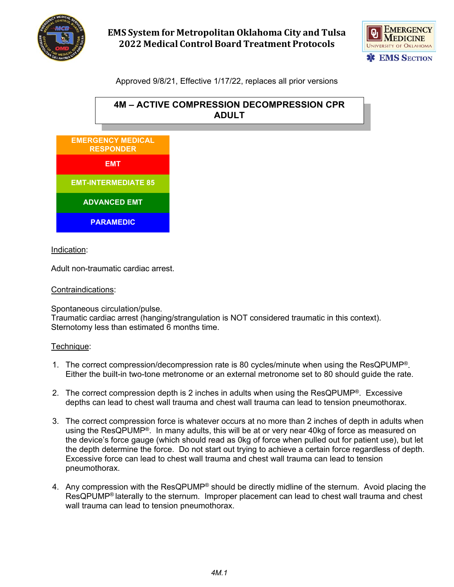

# **EMS System for Metropolitan Oklahoma City and Tulsa 2022 Medical Control Board Treatment Protocols**



## Approved 9/8/21, Effective 1/17/22, replaces all prior versions



#### Indication:

Adult non-traumatic cardiac arrest.

#### Contraindications:

Spontaneous circulation/pulse. Traumatic cardiac arrest (hanging/strangulation is NOT considered traumatic in this context). Sternotomy less than estimated 6 months time.

#### Technique:

- 1. The correct compression/decompression rate is 80 cycles/minute when using the ResQPUMP®. Either the built-in two-tone metronome or an external metronome set to 80 should guide the rate.
- 2. The correct compression depth is 2 inches in adults when using the ResQPUMP®. Excessive depths can lead to chest wall trauma and chest wall trauma can lead to tension pneumothorax.
- 3. The correct compression force is whatever occurs at no more than 2 inches of depth in adults when using the ResQPUMP®. In many adults, this will be at or very near 40kg of force as measured on the device's force gauge (which should read as 0kg of force when pulled out for patient use), but let the depth determine the force. Do not start out trying to achieve a certain force regardless of depth. Excessive force can lead to chest wall trauma and chest wall trauma can lead to tension pneumothorax.
- 4. Any compression with the ResQPUMP<sup>®</sup> should be directly midline of the sternum. Avoid placing the ResQPUMP® laterally to the sternum. Improper placement can lead to chest wall trauma and chest wall trauma can lead to tension pneumothorax.